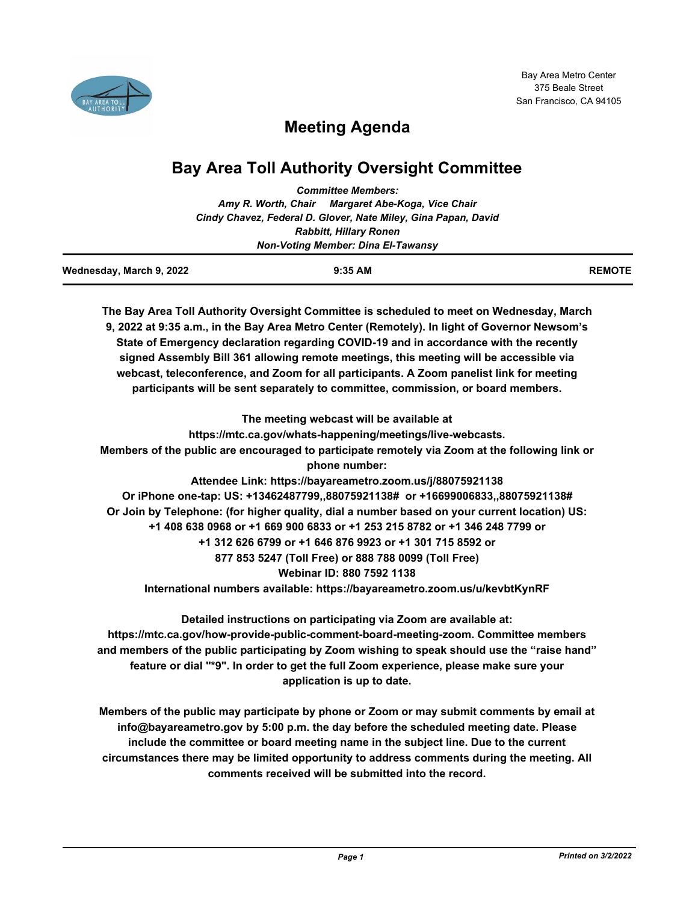

# **Meeting Agenda**

## **Bay Area Toll Authority Oversight Committee**

|                                           | <b>Committee Members:</b>                                                                      |               |  |
|-------------------------------------------|------------------------------------------------------------------------------------------------|---------------|--|
|                                           | Amy R. Worth, Chair Margaret Abe-Koga, Vice Chair                                              |               |  |
|                                           | Cindy Chavez, Federal D. Glover, Nate Miley, Gina Papan, David                                 |               |  |
|                                           | <b>Rabbitt, Hillary Ronen</b>                                                                  |               |  |
| <b>Non-Voting Member: Dina El-Tawansy</b> |                                                                                                |               |  |
| Wednesday, March 9, 2022                  | 9:35 AM                                                                                        | <b>REMOTE</b> |  |
|                                           | The Bay Area Toll Authority Oversight Committee is scheduled to meet on Wednesday, March       |               |  |
|                                           | 9, 2022 at 9:35 a.m., in the Bay Area Metro Center (Remotely). In light of Governor Newsom's   |               |  |
|                                           | State of Emergency declaration regarding COVID-19 and in accordance with the recently          |               |  |
|                                           | signed Assembly Bill 361 allowing remote meetings, this meeting will be accessible via         |               |  |
|                                           | webcast, teleconference, and Zoom for all participants. A Zoom panelist link for meeting       |               |  |
|                                           | participants will be sent separately to committee, commission, or board members.               |               |  |
|                                           | The meeting webcast will be available at                                                       |               |  |
|                                           | https://mtc.ca.gov/whats-happening/meetings/live-webcasts.                                     |               |  |
|                                           | Members of the public are encouraged to participate remotely via Zoom at the following link or |               |  |
|                                           | phone number:                                                                                  |               |  |
|                                           | Attendee Link: https://bayareametro.zoom.us/j/88075921138                                      |               |  |
|                                           | Or iPhone one-tap: US: +13462487799,,88075921138# or +16699006833,,88075921138#                |               |  |
|                                           | Or Join by Telephone: (for higher quality, dial a number based on your current location) US:   |               |  |
|                                           | +1 408 638 0968 or +1 669 900 6833 or +1 253 215 8782 or +1 346 248 7799 or                    |               |  |
|                                           | +1 312 626 6799 or +1 646 876 9923 or +1 301 715 8592 or                                       |               |  |
|                                           | 877 853 5247 (Toll Free) or 888 788 0099 (Toll Free)                                           |               |  |
|                                           | Webinar ID: 880 7592 1138                                                                      |               |  |
|                                           | International numbers available: https://bayareametro.zoom.us/u/kevbtKynRF                     |               |  |
|                                           | Detailed instructions on participating via Zoom are available at:                              |               |  |
|                                           | https://mtc.ca.gov/how-provide-public-comment-board-meeting-zoom. Committee members            |               |  |
|                                           | and members of the public participating by Zoom wishing to speak should use the "raise hand"   |               |  |

**feature or dial "\*9". In order to get the full Zoom experience, please make sure your application is up to date.**

**Members of the public may participate by phone or Zoom or may submit comments by email at info@bayareametro.gov by 5:00 p.m. the day before the scheduled meeting date. Please include the committee or board meeting name in the subject line. Due to the current circumstances there may be limited opportunity to address comments during the meeting. All comments received will be submitted into the record.**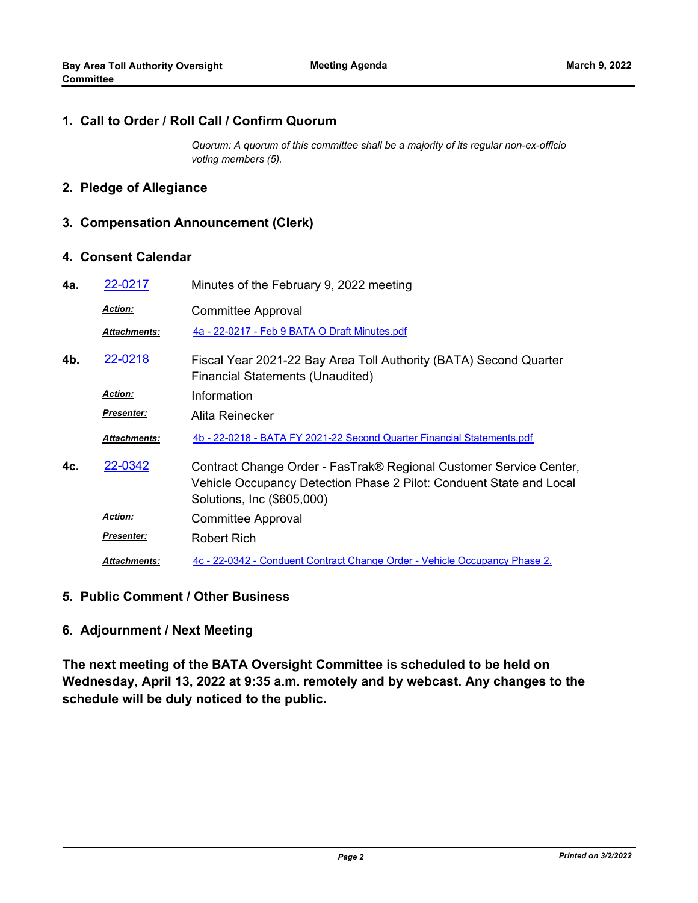#### **1. Call to Order / Roll Call / Confirm Quorum**

*Quorum: A quorum of this committee shall be a majority of its regular non-ex-officio voting members (5).*

## **2. Pledge of Allegiance**

### **3. Compensation Announcement (Clerk)**

#### **4. Consent Calendar**

| 4a. | 22-0217             | Minutes of the February 9, 2022 meeting                                                                                                                                 |
|-----|---------------------|-------------------------------------------------------------------------------------------------------------------------------------------------------------------------|
|     | <b>Action:</b>      | Committee Approval                                                                                                                                                      |
|     | <b>Attachments:</b> | 4a - 22-0217 - Feb 9 BATA O Draft Minutes.pdf                                                                                                                           |
| 4b. | 22-0218             | Fiscal Year 2021-22 Bay Area Toll Authority (BATA) Second Quarter<br><b>Financial Statements (Unaudited)</b>                                                            |
|     | <b>Action:</b>      | Information                                                                                                                                                             |
|     | Presenter:          | Alita Reinecker                                                                                                                                                         |
|     | <b>Attachments:</b> | 4b - 22-0218 - BATA FY 2021-22 Second Quarter Financial Statements.pdf                                                                                                  |
| 4c. | 22-0342             | Contract Change Order - FasTrak® Regional Customer Service Center,<br>Vehicle Occupancy Detection Phase 2 Pilot: Conduent State and Local<br>Solutions, Inc (\$605,000) |
|     | <b>Action:</b>      | Committee Approval                                                                                                                                                      |
|     | <b>Presenter:</b>   | Robert Rich                                                                                                                                                             |
|     | <b>Attachments:</b> | 4c - 22-0342 - Conduent Contract Change Order - Vehicle Occupancy Phase 2.                                                                                              |

#### **5. Public Comment / Other Business**

## **6. Adjournment / Next Meeting**

**The next meeting of the BATA Oversight Committee is scheduled to be held on Wednesday, April 13, 2022 at 9:35 a.m. remotely and by webcast. Any changes to the schedule will be duly noticed to the public.**